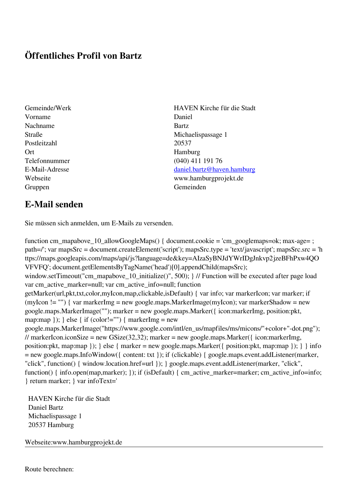## **Öffentliches Profil von Bartz**

- Gemeinde/Werk HAVEN Kirche für die Stadt Vorname Daniel Nachname Bartz Postleitzahl 20537 Ort Hamburg Gruppen Gemeinden Gemeinden Gemeinden Gemeinden Gemeinden Gemeinden Gemeinden Gemeinden Gemeinden Gemeinden G
- Straße Michaelispassage 1 Telefonnummer (040) 411 191 76 E-Mail-Adresse [daniel.bartz@haven.hamburg](mailto:daniel.bartz@haven.hamburg) Webseite www.hamburgprojekt.de

## **E-Mail senden**

Sie müssen sich anmelden, um E-Mails zu versenden.

function cm\_mapabove\_10\_allowGoogleMaps() { document.cookie = 'cm\_googlemaps=ok; max-age= ; path=/'; var mapsSrc = document.createElement('script'); mapsSrc.type = 'text/javascript'; mapsSrc.src = 'h ttps://maps.googleapis.com/maps/api/js?language=de&key=AIzaSyBNJdYWrIDgJnkvp2jzeBFhPxw4QO VFVFQ'; document.getElementsByTagName('head')[0].appendChild(mapsSrc); window.setTimeout("cm\_mapabove\_10\_initialize()", 500); } // Function will be executed after page load var cm\_active\_marker=null; var cm\_active\_info=null; function getMarker(url,pkt,txt,color,myIcon,map,clickable,isDefault) { var info; var markerIcon; var marker; if (myIcon != "") { var markerImg = new google.maps.MarkerImage(myIcon); var markerShadow = new google.maps.MarkerImage(""); marker = new google.maps.Marker({ icon:markerImg, position:pkt, map:map  $\}$ ;  $\}$  else  $\{$  if (color!="")  $\{$  markerImg = new google.maps.MarkerImage("https://www.google.com/intl/en\_us/mapfiles/ms/micons/"+color+"-dot.png"); // markerIcon.iconSize = new GSize(32,32); marker = new google.maps.Marker({ $i$ con:markerImg, position:pkt, map:map }); } else { marker = new google.maps.Marker({ position:pkt, map:map }); } } info = new google.maps.InfoWindow({ content: txt }); if (clickable) { google.maps.event.addListener(marker, "click", function() { window.location.href=url }); } google.maps.event.addListener(marker, "click", function() { info.open(map,marker); }); if (isDefault) { cm\_active\_marker=marker; cm\_active\_info=info; } return marker; } var infoText='

 HAVEN Kirche für die Stadt Daniel Bartz Michaelispassage 1 20537 Hamburg

Webseite:www.hamburgprojekt.de